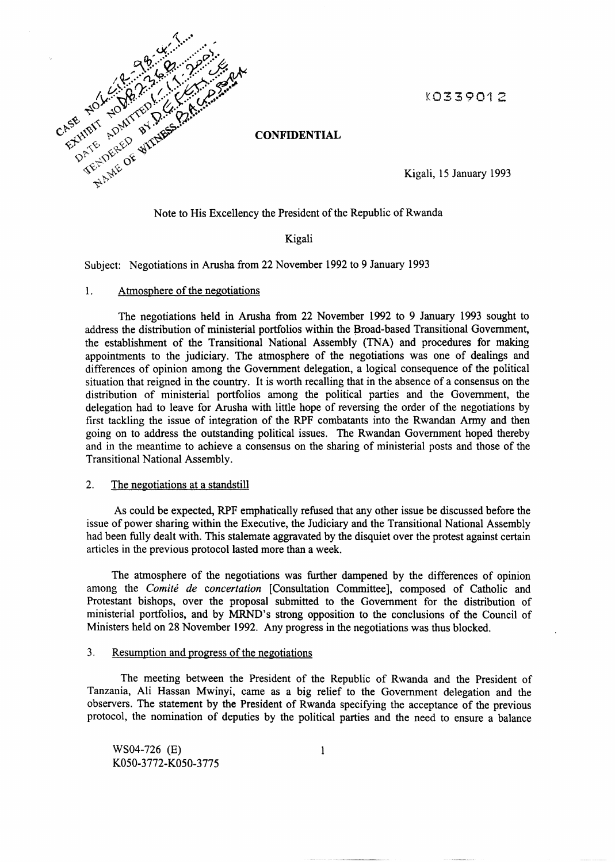K0339012



**CONFIDENTIAL** 

Kigali, 15 January 1993

Note to His Excellency the President of the Republic of Rwanda

### Kigali

Subject: Negotiations in Arusha from 22 November 1992 to 9 January 1993

#### 1. Atmosphere of the negotiations

The negotiations held in Arusha from 22 November 1992 to 9 January 1993 sought to address the distribution of ministerial portfolios within the Broad-based Transitional Government, the establishment of the Transitional National Assembly (TNA) and procedures for making appointments to the judiciary. The atmosphere of the negotiations was one of dealings and differences of opinion among the Government delegation, a logical consequence of the political situation that reigned in the country. It is worth recalling that in the absence of a consensus on the distribution of ministerial portfolios among the political parties and the Government, the delegation had to leave for Arusha with little hope of reversing the order of the negotiations by first tackling the issue of integration of the RPF combatants into the Rwandan Army and then going on to address the outstanding political issues. The Rwandan Government hoped thereby and in the meantime to achieve a consensus on the sharing of ministerial posts and those of the Transitional National Assembly.

# 2. The negotiations at a standstill

As could be expected, RPF emphatically refused that any other issue be discussed before the issue of power sharing within the Executive, the Judiciary and the Transitional National Assembly had been fully dealt with. This stalemate aggravated by the disquiet over the protest against certain articles in the previous protocol lasted more than a week.

The atmosphere of the negotiations was further dampened by the differences of opinion among the *Comite de concertation* [Consultation Committee], composed of Catholic and Protestant bishops, over the proposal submitted to the Government for the distribution of ministerial portfolios, and by MRND's strong opposition to the conclusions of the Council of Ministers held on 28 November 1992. Any progress in the negotiations was thus blocked.

# 3. Resumption and progress of the negotiations

The meeting between the President of the Republic of Rwanda and the President of Tanzania, Ali Hassan Mwinyi, came as a big relief to the Government delegation and the observers. The statement by the President of Rwanda specifying the acceptance of the previous protocol, the nomination of deputies by the political parties and the need to ensure a balance

WS04-726 (E) K050-3772-K050-3775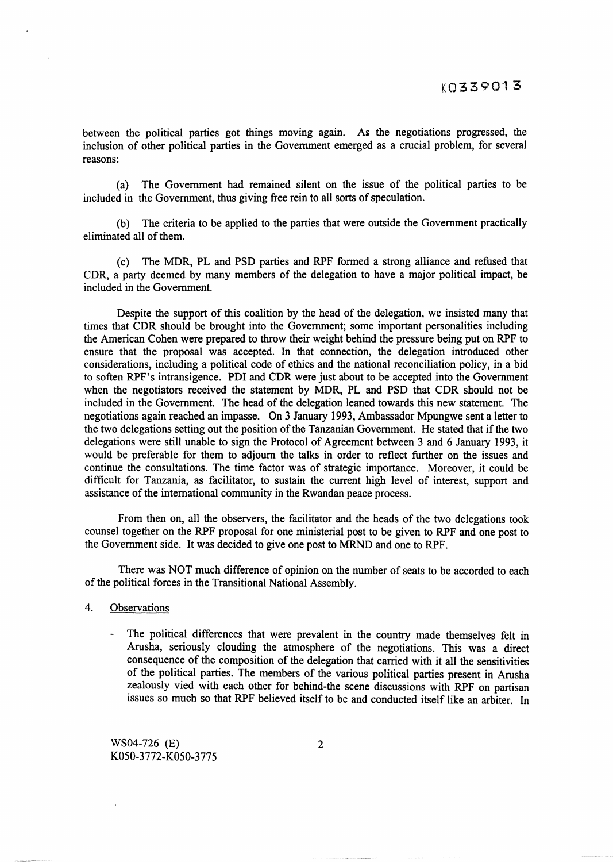between the political parties got things moving again. As the negotiations progressed, the inclusion of other political parties in the Government emerged as a crucial problem, for several reasons:

(a) The Government had remained silent on the issue of the political parties to be included in the Government, thus giving free rein to all sorts of speculation.

(b) The criteria to be applied to the parties that were outside the Government practically eliminated all of them.

(c) The MDR, PL and PSD parties and RPF formed a strong alliance and refused that CDR, a party deemed by many members of the delegation to have a major political impact, be included in the Government.

Despite the support of this coalition by the head of the delegation, we insisted many that times that CDR should be brought into the Government; some important personalities including the American Cohen were prepared to throw their weight behind the pressure being put on RPF to ensure that the proposal was accepted. In that connection, the delegation introduced other considerations, including a political code of ethics and the national reconciliation policy, in a bid to soften RPF's intransigence. PDI and CDR were just about to be accepted into the Government when the negotiators received the statement by MDR, PL and PSD that CDR should not be included in the Government. The head of the delegation leaned towards this new statement. The negotiations again reached an impasse. On 3 January 1993, Ambassador Mpungwe sent a letter to the two delegations setting out the position of the Tanzanian Government. He stated that if the two delegations were still unable to sign the Protocol of Agreement between 3 and 6 January 1993, it would be preferable for them to adjourn the talks in order to reflect further on the issues and continue the consultations. The time factor was of strategic importance. Moreover, it could be difficult for Tanzania, as facilitator, to sustain the current high level of interest, support and assistance of the international community in the Rwandan peace process.

From then on, all the observers, the facilitator and the heads of the two delegations took counsel together on the RPF proposal for one ministerial post to be given to RPF and one post to the Government side. It was decided to give one post to MRND and one to RPF.

There was NOT much difference of opinion on the number of seats to be accorded to each of the political forces in the Transitional National Assembly.

- 4. Observations
	- The political differences that were prevalent in the country made themselves felt in Arusha, seriously clouding the atmosphere of the negotiations. This was a direct consequence of the composition of the delegation that carried with it all the sensitivities of the political parties. The members of the various political parties present in Arusha zealously vied with each other for behind-the scene discussions with RPF on partisan issues so much so that RPF believed itself to be and conducted itself like an arbiter. In

WS04-726 (E) K050-3772-K050-3775